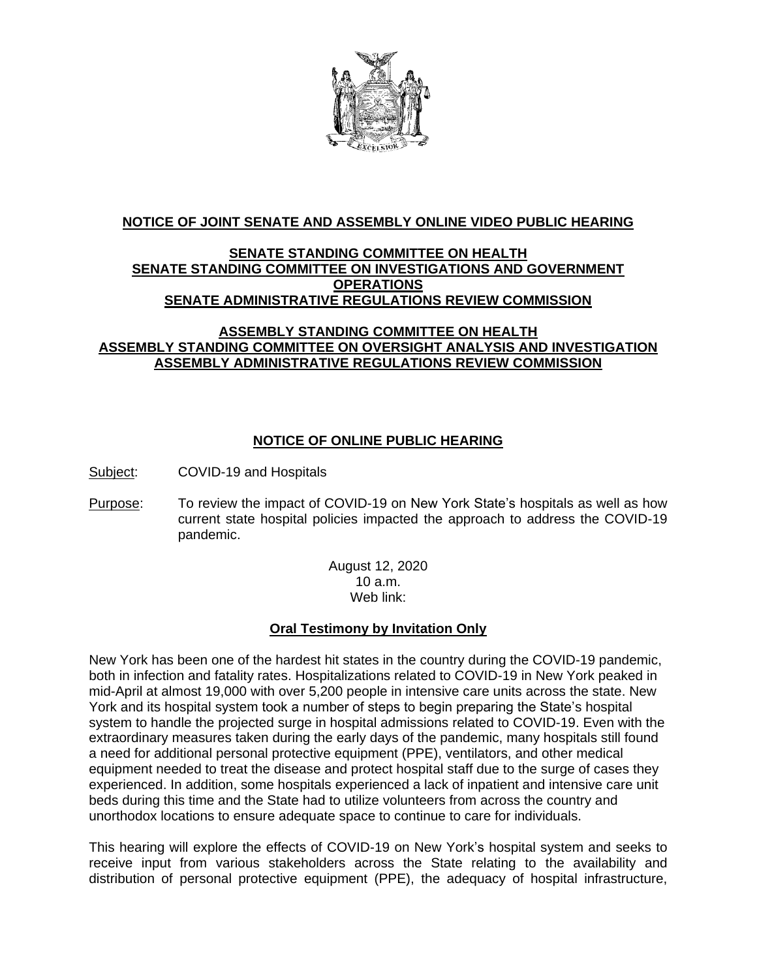

### **NOTICE OF JOINT SENATE AND ASSEMBLY ONLINE VIDEO PUBLIC HEARING**

# **SENATE STANDING COMMITTEE ON HEALTH SENATE STANDING COMMITTEE ON INVESTIGATIONS AND GOVERNMENT OPERATIONS SENATE ADMINISTRATIVE REGULATIONS REVIEW COMMISSION**

#### **ASSEMBLY STANDING COMMITTEE ON HEALTH ASSEMBLY STANDING COMMITTEE ON OVERSIGHT ANALYSIS AND INVESTIGATION ASSEMBLY ADMINISTRATIVE REGULATIONS REVIEW COMMISSION**

## **NOTICE OF ONLINE PUBLIC HEARING**

Subject: COVID-19 and Hospitals

Purpose: To review the impact of COVID-19 on New York State's hospitals as well as how current state hospital policies impacted the approach to address the COVID-19 pandemic.

> August 12, 2020 10 a.m. Web link:

## **Oral Testimony by Invitation Only**

New York has been one of the hardest hit states in the country during the COVID-19 pandemic, both in infection and fatality rates. Hospitalizations related to COVID-19 in New York peaked in mid-April at almost 19,000 with over 5,200 people in intensive care units across the state. New York and its hospital system took a number of steps to begin preparing the State's hospital system to handle the projected surge in hospital admissions related to COVID-19. Even with the extraordinary measures taken during the early days of the pandemic, many hospitals still found a need for additional personal protective equipment (PPE), ventilators, and other medical equipment needed to treat the disease and protect hospital staff due to the surge of cases they experienced. In addition, some hospitals experienced a lack of inpatient and intensive care unit beds during this time and the State had to utilize volunteers from across the country and unorthodox locations to ensure adequate space to continue to care for individuals.

This hearing will explore the effects of COVID-19 on New York's hospital system and seeks to receive input from various stakeholders across the State relating to the availability and distribution of personal protective equipment (PPE), the adequacy of hospital infrastructure,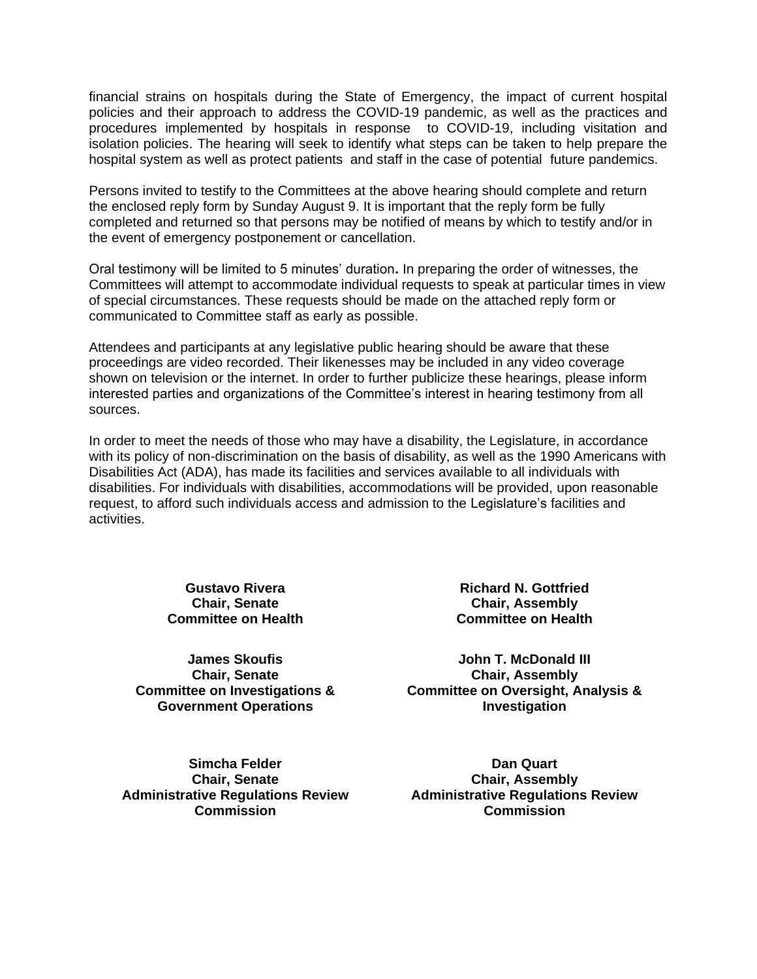financial strains on hospitals during the State of Emergency, the impact of current hospital policies and their approach to address the COVID-19 pandemic, as well as the practices and procedures implemented by hospitals in response to COVID-19, including visitation and isolation policies. The hearing will seek to identify what steps can be taken to help prepare the hospital system as well as protect patients and staff in the case of potential future pandemics.

Persons invited to testify to the Committees at the above hearing should complete and return the enclosed reply form by Sunday August 9. It is important that the reply form be fully completed and returned so that persons may be notified of means by which to testify and/or in the event of emergency postponement or cancellation.

Oral testimony will be limited to 5 minutes' duration**.** In preparing the order of witnesses, the Committees will attempt to accommodate individual requests to speak at particular times in view of special circumstances. These requests should be made on the attached reply form or communicated to Committee staff as early as possible.

Attendees and participants at any legislative public hearing should be aware that these proceedings are video recorded. Their likenesses may be included in any video coverage shown on television or the internet. In order to further publicize these hearings, please inform interested parties and organizations of the Committee's interest in hearing testimony from all sources.

In order to meet the needs of those who may have a disability, the Legislature, in accordance with its policy of non-discrimination on the basis of disability, as well as the 1990 Americans with Disabilities Act (ADA), has made its facilities and services available to all individuals with disabilities. For individuals with disabilities, accommodations will be provided, upon reasonable request, to afford such individuals access and admission to the Legislature's facilities and activities.

> **Gustavo Rivera Chair, Senate Committee on Health**

**James Skoufis Chair, Senate Committee on Investigations & Government Operations**

**Richard N. Gottfried Chair, Assembly Committee on Health**

**John T. McDonald III Chair, Assembly Committee on Oversight, Analysis & Investigation**

**Simcha Felder Chair, Senate Administrative Regulations Review Commission**

**Dan Quart Chair, Assembly Administrative Regulations Review Commission**